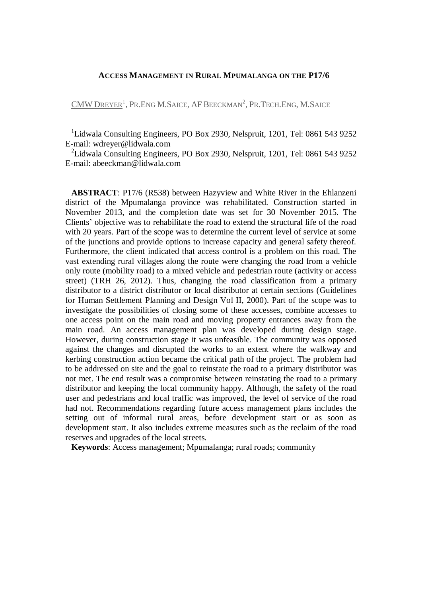## **ACCESS MANAGEMENT IN RURAL MPUMALANGA ON THE P17/6**

 $\text{CMW DREFER}^{1}$ , Pr.Eng M.Saice, AF Beeckman<sup>2</sup>, Pr.Tech.Eng, M.Saice

<sup>1</sup>Lidwala Consulting Engineers, PO Box 2930, Nelspruit, 1201, Tel: 0861 543 9252 E-mail: [wdreyer@lidwala.com](mailto:wdreyer@lidwala.com)

<sup>2</sup>Lidwala Consulting Engineers, PO Box 2930, Nelspruit, 1201, Tel: 0861 543 9252 E-mail: [abeeckman@lidwala.com](mailto:abeeckman@lidwala.com)

**ABSTRACT**: P17/6 (R538) between Hazyview and White River in the Ehlanzeni district of the Mpumalanga province was rehabilitated. Construction started in November 2013, and the completion date was set for 30 November 2015. The Clients' objective was to rehabilitate the road to extend the structural life of the road with 20 years. Part of the scope was to determine the current level of service at some of the junctions and provide options to increase capacity and general safety thereof. Furthermore, the client indicated that access control is a problem on this road. The vast extending rural villages along the route were changing the road from a vehicle only route (mobility road) to a mixed vehicle and pedestrian route (activity or access street) (TRH 26, 2012). Thus, changing the road classification from a primary distributor to a district distributor or local distributor at certain sections (Guidelines for Human Settlement Planning and Design Vol II, 2000). Part of the scope was to investigate the possibilities of closing some of these accesses, combine accesses to one access point on the main road and moving property entrances away from the main road. An access management plan was developed during design stage. However, during construction stage it was unfeasible. The community was opposed against the changes and disrupted the works to an extent where the walkway and kerbing construction action became the critical path of the project. The problem had to be addressed on site and the goal to reinstate the road to a primary distributor was not met. The end result was a compromise between reinstating the road to a primary distributor and keeping the local community happy. Although, the safety of the road user and pedestrians and local traffic was improved, the level of service of the road had not. Recommendations regarding future access management plans includes the setting out of informal rural areas, before development start or as soon as development start. It also includes extreme measures such as the reclaim of the road reserves and upgrades of the local streets.

**Keywords**: Access management; Mpumalanga; rural roads; community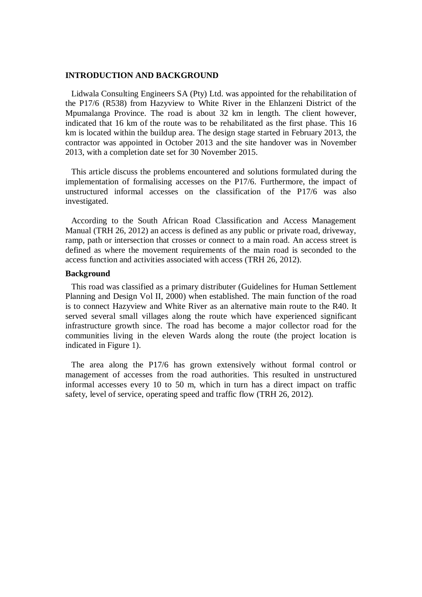### **INTRODUCTION AND BACKGROUND**

Lidwala Consulting Engineers SA (Pty) Ltd. was appointed for the rehabilitation of the P17/6 (R538) from Hazyview to White River in the Ehlanzeni District of the Mpumalanga Province. The road is about 32 km in length. The client however, indicated that 16 km of the route was to be rehabilitated as the first phase. This 16 km is located within the buildup area. The design stage started in February 2013, the contractor was appointed in October 2013 and the site handover was in November 2013, with a completion date set for 30 November 2015.

This article discuss the problems encountered and solutions formulated during the implementation of formalising accesses on the P17/6. Furthermore, the impact of unstructured informal accesses on the classification of the P17/6 was also investigated.

According to the South African Road Classification and Access Management Manual (TRH 26, 2012) an access is defined as any public or private road, driveway, ramp, path or intersection that crosses or connect to a main road. An access street is defined as where the movement requirements of the main road is seconded to the access function and activities associated with access (TRH 26, 2012).

### **Background**

This road was classified as a primary distributer (Guidelines for Human Settlement Planning and Design Vol II, 2000) when established. The main function of the road is to connect Hazyview and White River as an alternative main route to the R40. It served several small villages along the route which have experienced significant infrastructure growth since. The road has become a major collector road for the communities living in the eleven Wards along the route (the project location is indicated in [Figure 1\)](#page-2-0).

The area along the P17/6 has grown extensively without formal control or management of accesses from the road authorities. This resulted in unstructured informal accesses every 10 to 50 m, which in turn has a direct impact on traffic safety, level of service, operating speed and traffic flow (TRH 26, 2012).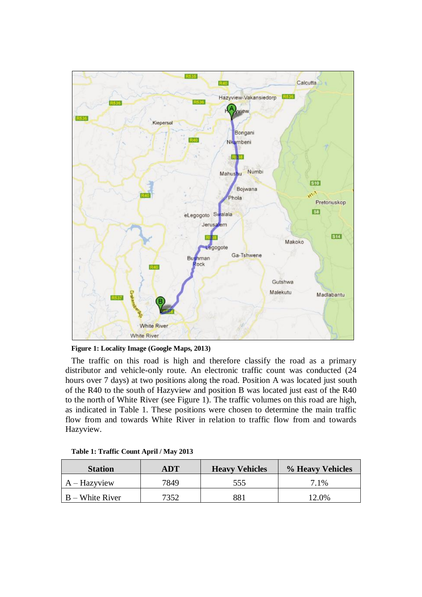

<span id="page-2-0"></span>

The traffic on this road is high and therefore classify the road as a primary distributor and vehicle-only route. An electronic traffic count was conducted (24 hours over 7 days) at two positions along the road. Position A was located just south of the R40 to the south of Hazyview and position B was located just east of the R40 to the north of White River (see [Figure 1\)](#page-2-0). The traffic volumes on this road are high, as indicated in [Table 1.](#page-2-1) These positions were chosen to determine the main traffic flow from and towards White River in relation to traffic flow from and towards Hazyview.

| <b>Station</b>    | ADT  | <b>Heavy Vehicles</b> | % Heavy Vehicles |  |
|-------------------|------|-----------------------|------------------|--|
| A – Hazyview      | 7849 | 555                   | 7.1%             |  |
| $B$ – White River | 7352 | 881                   | 12.0%            |  |

### <span id="page-2-1"></span>**Table 1: Traffic Count April / May 2013**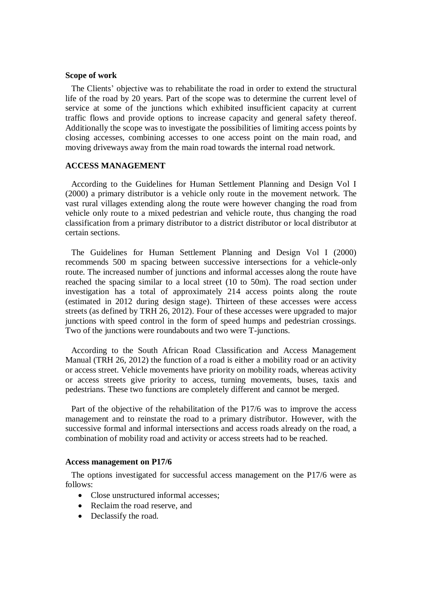### **Scope of work**

The Clients' objective was to rehabilitate the road in order to extend the structural life of the road by 20 years. Part of the scope was to determine the current level of service at some of the junctions which exhibited insufficient capacity at current traffic flows and provide options to increase capacity and general safety thereof. Additionally the scope was to investigate the possibilities of limiting access points by closing accesses, combining accesses to one access point on the main road, and moving driveways away from the main road towards the internal road network.

## **ACCESS MANAGEMENT**

According to the Guidelines for Human Settlement Planning and Design Vol I (2000) a primary distributor is a vehicle only route in the movement network. The vast rural villages extending along the route were however changing the road from vehicle only route to a mixed pedestrian and vehicle route, thus changing the road classification from a primary distributor to a district distributor or local distributor at certain sections.

The Guidelines for Human Settlement Planning and Design Vol I (2000) recommends 500 m spacing between successive intersections for a vehicle-only route. The increased number of junctions and informal accesses along the route have reached the spacing similar to a local street (10 to 50m). The road section under investigation has a total of approximately 214 access points along the route (estimated in 2012 during design stage). Thirteen of these accesses were access streets (as defined by TRH 26, 2012). Four of these accesses were upgraded to major junctions with speed control in the form of speed humps and pedestrian crossings. Two of the junctions were roundabouts and two were T-junctions.

According to the South African Road Classification and Access Management Manual (TRH 26, 2012) the function of a road is either a mobility road or an activity or access street. Vehicle movements have priority on mobility roads, whereas activity or access streets give priority to access, turning movements, buses, taxis and pedestrians. These two functions are completely different and cannot be merged.

Part of the objective of the rehabilitation of the P17/6 was to improve the access management and to reinstate the road to a primary distributor. However, with the successive formal and informal intersections and access roads already on the road, a combination of mobility road and activity or access streets had to be reached.

### **Access management on P17/6**

The options investigated for successful access management on the P17/6 were as follows:

- Close unstructured informal accesses:
- Reclaim the road reserve, and
- Declassify the road.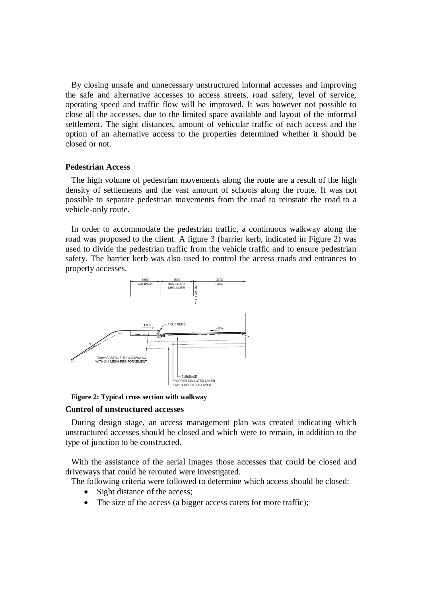By closing unsafe and unnecessary unstructured informal accesses and improving the safe and alternative accesses to access streets, road safety, level of service, operating speed and traffic flow will be improved. It was however not possible to close all the accesses, due to the limited space available and layout of the informal settlement. The sight distances, amount of vehicular traffic of each access and the option of an alternative access to the properties determined whether it should be closed or not.

### **Pedestrian Access**

The high volume of pedestrian movements along the route are a result of the high density of settlements and the vast amount of schools along the route. It was not possible to separate pedestrian movements from the road to reinstate the road to a vehicle-only route.

In order to accommodate the pedestrian traffic, a continuous walkway along the road was proposed to the client. A figure 3 (barrier kerb, indicated in [Figure 2\)](#page-4-0) was used to divide the pedestrian traffic from the vehicle traffic and to ensure pedestrian safety. The barrier kerb was also used to control the access roads and entrances to property accesses.



<span id="page-4-0"></span>**Figure 2: Typical cross section with walkway**

#### **Control of unstructured accesses**

During design stage, an access management plan was created indicating which unstructured accesses should be closed and which were to remain, in addition to the type of junction to be constructed.

With the assistance of the aerial images those accesses that could be closed and driveways that could be rerouted were investigated.

The following criteria were followed to determine which access should be closed:

- Sight distance of the access;
- The size of the access (a bigger access caters for more traffic);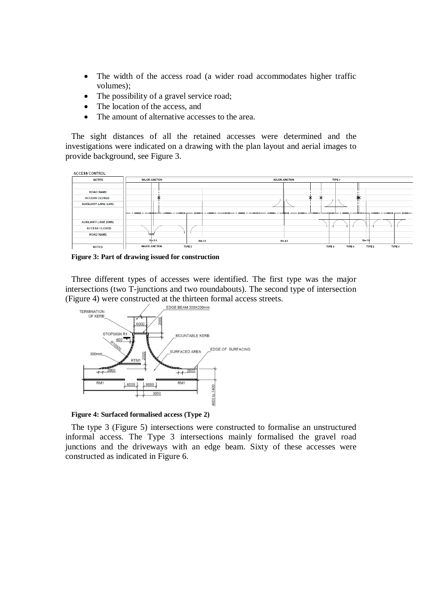- The width of the access road (a wider road accommodates higher traffic volumes);
- The possibility of a gravel service road;
- The location of the access, and
- The amount of alternative accesses to the area.

The sight distances of all the retained accesses were determined and the investigations were indicated on a drawing with the plan layout and aerial images to provide background, see [Figure 3.](#page-5-0)



<span id="page-5-0"></span>**Figure 3: Part of drawing issued for construction**

Three different types of accesses were identified. The first type was the major intersections (two T-junctions and two roundabouts). The second type of intersection [\(Figure 4\)](#page-5-1) were constructed at the thirteen formal access streets.



<span id="page-5-1"></span>**Figure 4: Surfaced formalised access (Type 2)**

The type 3 [\(Figure 5\)](#page-6-0) intersections were constructed to formalise an unstructured informal access. The Type 3 intersections mainly formalised the gravel road junctions and the driveways with an edge beam. Sixty of these accesses were constructed as indicated in [Figure 6.](#page-6-1)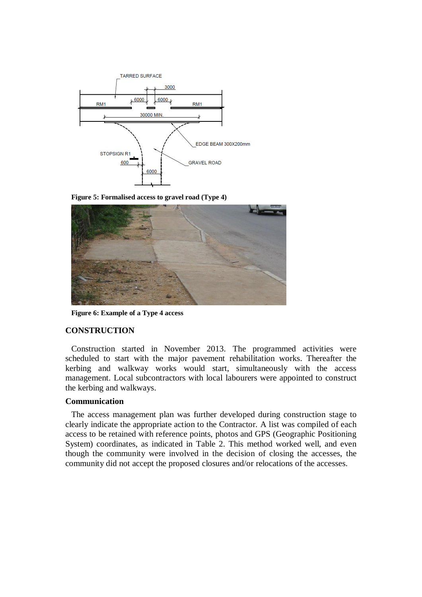

<span id="page-6-0"></span>**Figure 5: Formalised access to gravel road (Type 4)**



**Figure 6: Example of a Type 4 access**

## <span id="page-6-1"></span>**CONSTRUCTION**

Construction started in November 2013. The programmed activities were scheduled to start with the major pavement rehabilitation works. Thereafter the kerbing and walkway works would start, simultaneously with the access management. Local subcontractors with local labourers were appointed to construct the kerbing and walkways.

## **Communication**

The access management plan was further developed during construction stage to clearly indicate the appropriate action to the Contractor. A list was compiled of each access to be retained with reference points, photos and GPS (Geographic Positioning System) coordinates, as indicated in [Table 2.](#page-7-0) This method worked well, and even though the community were involved in the decision of closing the accesses, the community did not accept the proposed closures and/or relocations of the accesses.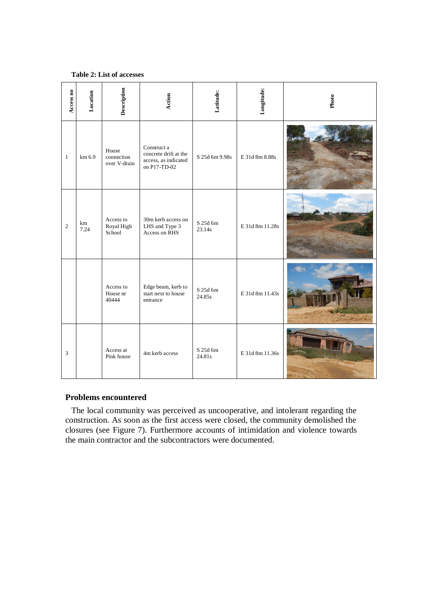### <span id="page-7-0"></span>**Table 2: List of accesses**

| Access no    | Location   | Description                         | Action                                                                       | Latitude:                     | Longitude:      | Photo |
|--------------|------------|-------------------------------------|------------------------------------------------------------------------------|-------------------------------|-----------------|-------|
| $\mathbf{1}$ | km 6.9     | House<br>connection<br>over V-drain | Construct a<br>concrete drift at the<br>access, as indicated<br>on P17-TD-02 | S 25d 6m 9.98s                | E 31d 8m 8.88s  |       |
| $\sqrt{2}$   | km<br>7.24 | Access to<br>Royal High<br>School   | 30m kerb access on<br>LHS and Type 3<br>Access on RHS                        | S 25d 6m<br>23.14s            | E 31d 8m 11.28s |       |
|              |            | Access to<br>House nr<br>40444      | Edge beam, kerb to<br>start next to house<br>entrance                        | $\mathrm{S}$ 25d 6m<br>24.85s | E 31d 8m 11.43s |       |
| 3            |            | Access at<br>Pink house             | 4m kerb access                                                               | S 25d 6m<br>24.81s            | E 31d 8m 11.36s |       |

## **Problems encountered**

The local community was perceived as uncooperative, and intolerant regarding the construction. As soon as the first access were closed, the community demolished the closures (see [Figure 7\)](#page-8-0). Furthermore accounts of intimidation and violence towards the main contractor and the subcontractors were documented.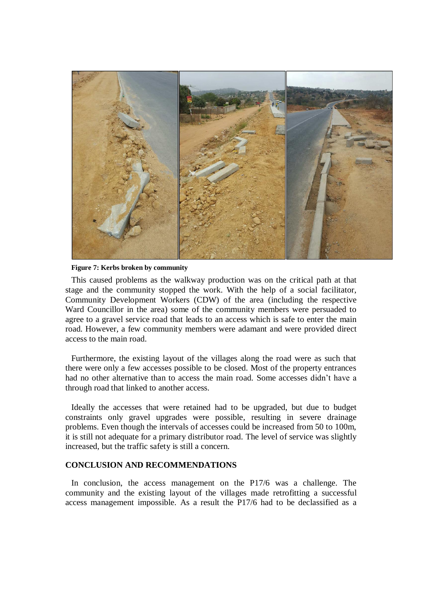

**Figure 7: Kerbs broken by community**

<span id="page-8-0"></span>This caused problems as the walkway production was on the critical path at that stage and the community stopped the work. With the help of a social facilitator, Community Development Workers (CDW) of the area (including the respective Ward Councillor in the area) some of the community members were persuaded to agree to a gravel service road that leads to an access which is safe to enter the main road. However, a few community members were adamant and were provided direct access to the main road.

Furthermore, the existing layout of the villages along the road were as such that there were only a few accesses possible to be closed. Most of the property entrances had no other alternative than to access the main road. Some accesses didn't have a through road that linked to another access.

Ideally the accesses that were retained had to be upgraded, but due to budget constraints only gravel upgrades were possible, resulting in severe drainage problems. Even though the intervals of accesses could be increased from 50 to 100m, it is still not adequate for a primary distributor road. The level of service was slightly increased, but the traffic safety is still a concern.

## **CONCLUSION AND RECOMMENDATIONS**

In conclusion, the access management on the P17/6 was a challenge. The community and the existing layout of the villages made retrofitting a successful access management impossible. As a result the P17/6 had to be declassified as a